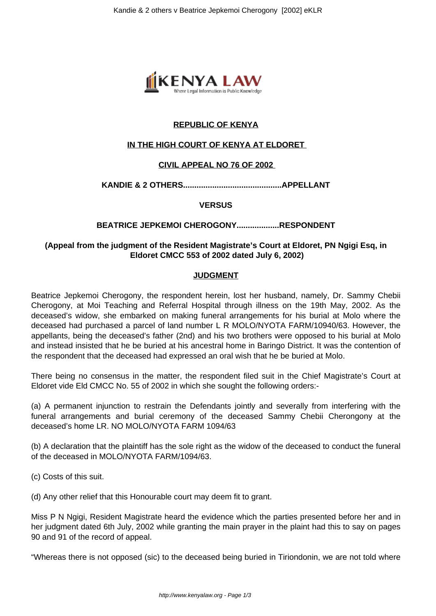

# **REPUBLIC OF KENYA**

### **IN THE HIGH COURT OF KENYA AT ELDORET**

#### **CIVIL APPEAL NO 76 OF 2002**

**KANDIE & 2 OTHERS............................................APPELLANT**

#### **VERSUS**

#### **BEATRICE JEPKEMOI CHEROGONY...................RESPONDENT**

## **(Appeal from the judgment of the Resident Magistrate's Court at Eldoret, PN Ngigi Esq, in Eldoret CMCC 553 of 2002 dated July 6, 2002)**

#### **JUDGMENT**

Beatrice Jepkemoi Cherogony, the respondent herein, lost her husband, namely, Dr. Sammy Chebii Cherogony, at Moi Teaching and Referral Hospital through illness on the 19th May, 2002. As the deceased's widow, she embarked on making funeral arrangements for his burial at Molo where the deceased had purchased a parcel of land number L R MOLO/NYOTA FARM/10940/63. However, the appellants, being the deceased's father (2nd) and his two brothers were opposed to his burial at Molo and instead insisted that he be buried at his ancestral home in Baringo District. It was the contention of the respondent that the deceased had expressed an oral wish that he be buried at Molo.

There being no consensus in the matter, the respondent filed suit in the Chief Magistrate's Court at Eldoret vide Eld CMCC No. 55 of 2002 in which she sought the following orders:-

(a) A permanent injunction to restrain the Defendants jointly and severally from interfering with the funeral arrangements and burial ceremony of the deceased Sammy Chebii Cherongony at the deceased's home LR. NO MOLO/NYOTA FARM 1094/63

(b) A declaration that the plaintiff has the sole right as the widow of the deceased to conduct the funeral of the deceased in MOLO/NYOTA FARM/1094/63.

(c) Costs of this suit.

(d) Any other relief that this Honourable court may deem fit to grant.

Miss P N Ngigi, Resident Magistrate heard the evidence which the parties presented before her and in her judgment dated 6th July, 2002 while granting the main prayer in the plaint had this to say on pages 90 and 91 of the record of appeal.

"Whereas there is not opposed (sic) to the deceased being buried in Tiriondonin, we are not told where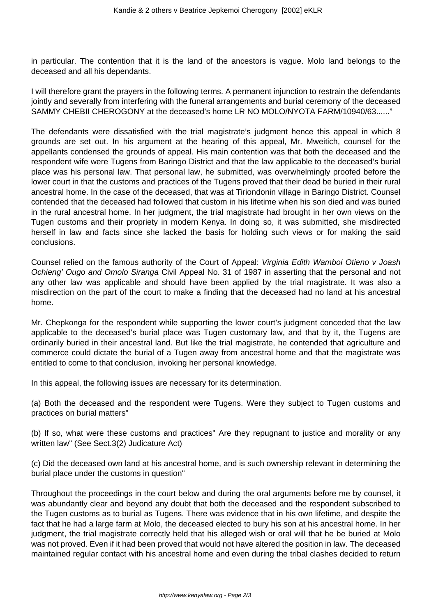in particular. The contention that it is the land of the ancestors is vague. Molo land belongs to the deceased and all his dependants.

I will therefore grant the prayers in the following terms. A permanent injunction to restrain the defendants jointly and severally from interfering with the funeral arrangements and burial ceremony of the deceased SAMMY CHEBII CHEROGONY at the deceased's home LR NO MOLO/NYOTA FARM/10940/63......"

The defendants were dissatisfied with the trial magistrate's judgment hence this appeal in which 8 grounds are set out. In his argument at the hearing of this appeal, Mr. Mweitich, counsel for the appellants condensed the grounds of appeal. His main contention was that both the deceased and the respondent wife were Tugens from Baringo District and that the law applicable to the deceased's burial place was his personal law. That personal law, he submitted, was overwhelmingly proofed before the lower court in that the customs and practices of the Tugens proved that their dead be buried in their rural ancestral home. In the case of the deceased, that was at Tiriondonin village in Baringo District. Counsel contended that the deceased had followed that custom in his lifetime when his son died and was buried in the rural ancestral home. In her judgment, the trial magistrate had brought in her own views on the Tugen customs and their propriety in modern Kenya. In doing so, it was submitted, she misdirected herself in law and facts since she lacked the basis for holding such views or for making the said conclusions.

Counsel relied on the famous authority of the Court of Appeal: Virginia Edith Wamboi Otieno v Joash Ochieng' Ougo and Omolo Siranga Civil Appeal No. 31 of 1987 in asserting that the personal and not any other law was applicable and should have been applied by the trial magistrate. It was also a misdirection on the part of the court to make a finding that the deceased had no land at his ancestral home.

Mr. Chepkonga for the respondent while supporting the lower court's judgment conceded that the law applicable to the deceased's burial place was Tugen customary law, and that by it, the Tugens are ordinarily buried in their ancestral land. But like the trial magistrate, he contended that agriculture and commerce could dictate the burial of a Tugen away from ancestral home and that the magistrate was entitled to come to that conclusion, invoking her personal knowledge.

In this appeal, the following issues are necessary for its determination.

(a) Both the deceased and the respondent were Tugens. Were they subject to Tugen customs and practices on burial matters"

(b) If so, what were these customs and practices" Are they repugnant to justice and morality or any written law" (See Sect.3(2) Judicature Act)

(c) Did the deceased own land at his ancestral home, and is such ownership relevant in determining the burial place under the customs in question"

Throughout the proceedings in the court below and during the oral arguments before me by counsel, it was abundantly clear and beyond any doubt that both the deceased and the respondent subscribed to the Tugen customs as to burial as Tugens. There was evidence that in his own lifetime, and despite the fact that he had a large farm at Molo, the deceased elected to bury his son at his ancestral home. In her judgment, the trial magistrate correctly held that his alleged wish or oral will that he be buried at Molo was not proved. Even if it had been proved that would not have altered the position in law. The deceased maintained regular contact with his ancestral home and even during the tribal clashes decided to return